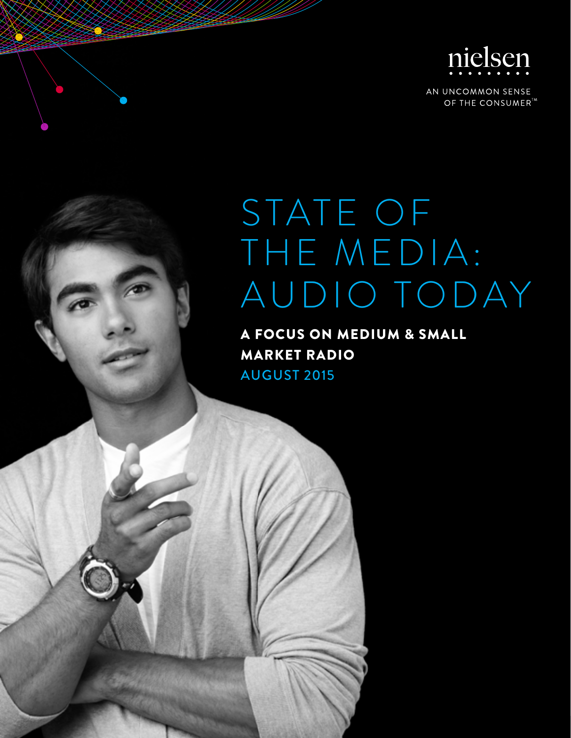

AN UNCOMMON SENSE OF THE CONSUMER<sup>™</sup>

# STATE OF THE MEDIA: audio today

A FOCUS ON medium & SMALL MARKET RADIO AUGUST 2015

State of the media: audio today Copyright © 2015 The Nielsen Company **1**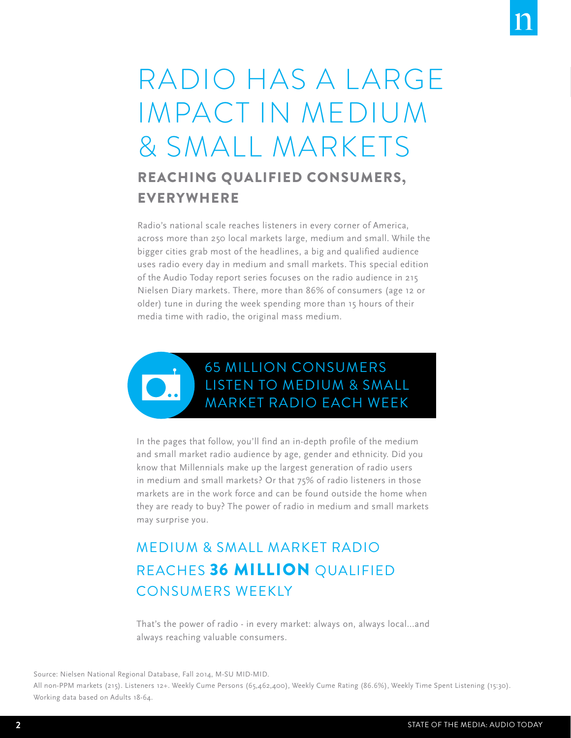# RADIO HAS A LARGE IMPACT IN MEDIUM & SMALL MARKETS REACHING QUALIFIED CONSUMERS,

### EVERYWHERE

Radio's national scale reaches listeners in every corner of America, across more than 250 local markets large, medium and small. While the bigger cities grab most of the headlines, a big and qualified audience uses radio every day in medium and small markets. This special edition of the Audio Today report series focuses on the radio audience in 215 Nielsen Diary markets. There, more than 86% of consumers (age 12 or older) tune in during the week spending more than 15 hours of their media time with radio, the original mass medium.



In the pages that follow, you'll find an in-depth profile of the medium and small market radio audience by age, gender and ethnicity. Did you know that Millennials make up the largest generation of radio users in medium and small markets? Or that 75% of radio listeners in those markets are in the work force and can be found outside the home when they are ready to buy? The power of radio in medium and small markets may surprise you.

## MEDIUM & SMALL MARKET RADIO REACHES 36 MILLION QUALIFIED CONSUMERS WEEKLY

That's the power of radio - in every market: always on, always local...and always reaching valuable consumers.

Source: Nielsen National Regional Database, Fall 2014, M-SU MID-MID.

All non-PPM markets (215). Listeners 12+. Weekly Cume Persons (65,462,400), Weekly Cume Rating (86.6%), Weekly Time Spent Listening (15:30). Working data based on Adults 18-64.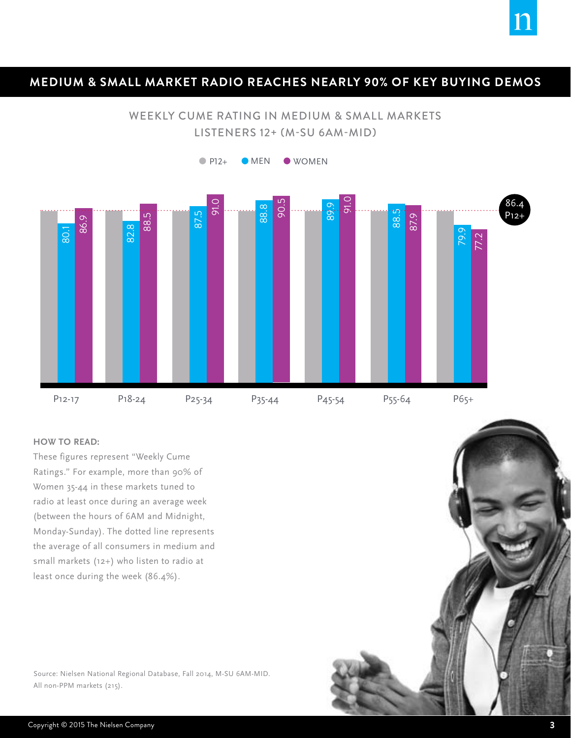#### **MEDIUM & SMALL MARKET RADIO REACHES NEARLY 90% OF KEY BUYING DEMOS**



#### WEEKLY CUME RATING IN MEDIUM & SMALL MARKETS LISTENERS 12+ (M-SU 6AM-MID)

#### **HOW TO READ:**

These figures represent "Weekly Cume Ratings." For example, more than 90% of Women 35-44 in these markets tuned to radio at least once during an average week (between the hours of 6AM and Midnight, Monday-Sunday). The dotted line represents the average of all consumers in medium and small markets (12+) who listen to radio at least once during the week (86.4%).

Source: Nielsen National Regional Database, Fall 2014, M-SU 6AM-MID. All non-PPM markets (215).

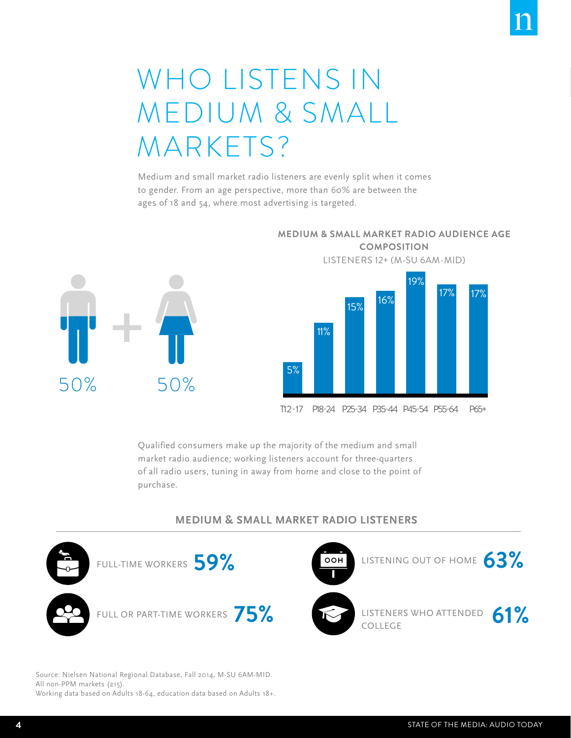# WHO LISTENS IN MEDIUM & SMALL MARKETS?

Medium and small market radio listeners are evenly split when it comes to gender. From an age perspective, more than 60% are between the ages of 18 and 54, where most advertising is targeted.





T12-17 P18-24 P25-34 P35-44 P45-54 P55-64 P65+

Qualified consumers make up the majority of the medium and small market radio audience; working listeners account for three-quarters of all radio users, tuning in away from home and close to the point of purchase.

5%

#### **MEDIUM & SMALL MARKET Radio Listeners**



Source: Nielsen National Regional Database, Fall 2014, M-SU 6AM-MID. All non-PPM markets (215).

Working data based on Adults 18-64, education data based on Adults 18+.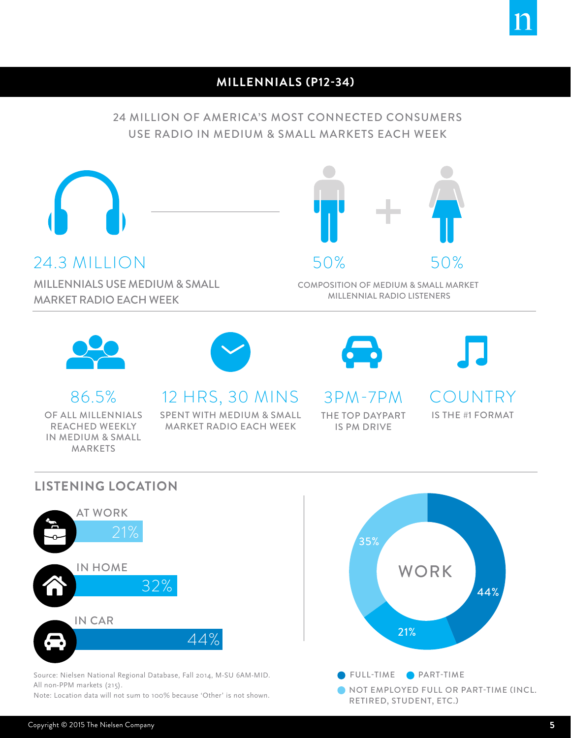#### **Millennials (P12-34)**

#### 24 MILLION OF AMERICA'S MOST CONNECTED CONSUMERS USE RADIO IN MEDIUM & SMALL MARKETS EACH WEEK





Source: Nielsen National Regional Database, Fall 2014, M-SU 6AM-MID. All non-PPM markets (215).

Note: Location data will not sum to 100% because 'Other' is not shown.



21%

**FULL-TIME PART-TIME** 

RETIRED, STUDENT, ETC.)

NOT EMPLOYED FULL OR PART-TIME (INCL.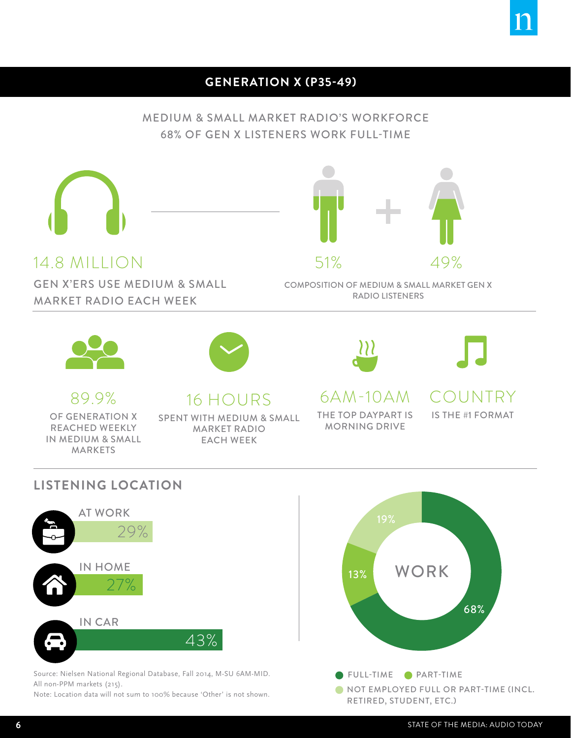#### **Generation x (P35-49)**

#### MEDIUM & SMALL MARKET RADIO'S WORKFORCE 68% OF GEN X LISTENERS WORK FULL-TIME



#### **LISTENING LOCATION**



Source: Nielsen National Regional Database, Fall 2014, M-SU 6AM-MID. All non-PPM markets (215).

Note: Location data will not sum to 100% because 'Other' is not shown.

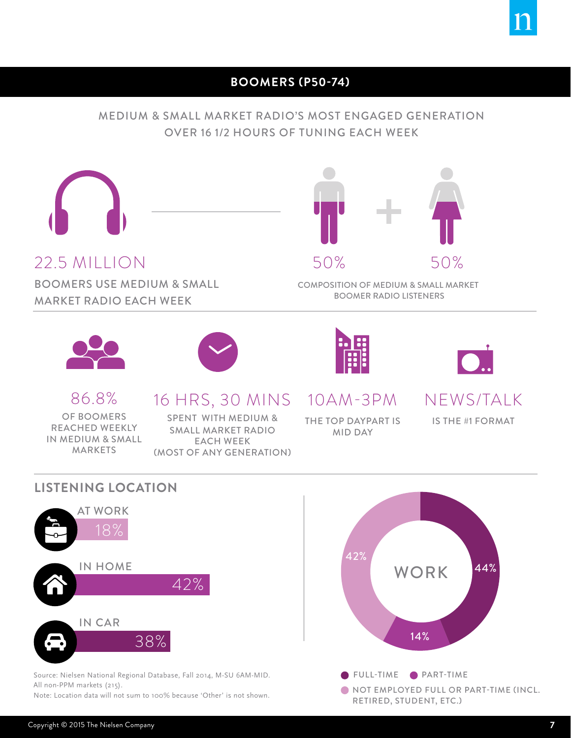

#### **Boomers (P50-74)**

#### MEDIUM & SMALL MARKET RADIO'S MOST ENGAGED GENERATION OVER 16 1/2 HOURS OF TUNING EACH WEEK





Source: Nielsen National Regional Database, Fall 2014, M-SU 6AM-MID. All non-PPM markets (215).

Note: Location data will not sum to 100% because 'Other' is not shown.



**FULL-TIME PART-TIME** 

14%

RETIRED, STUDENT, ETC.)

NOT EMPLOYED FULL OR PART-TIME (INCL.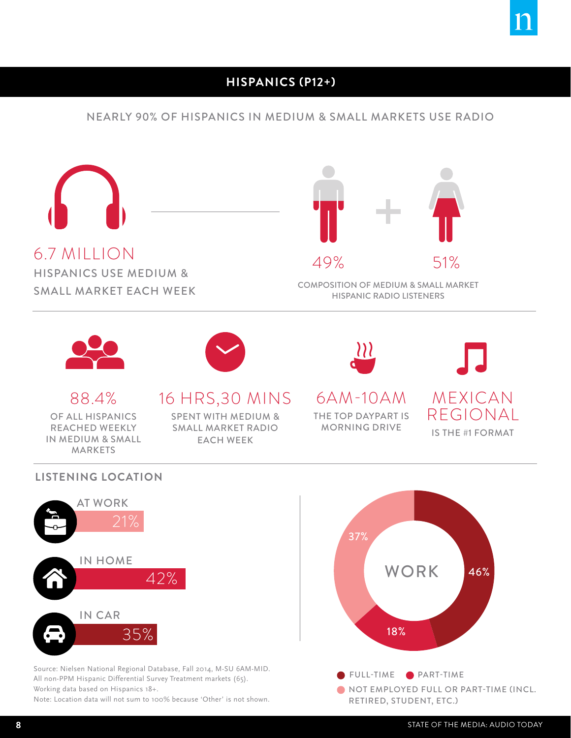

#### **Hispanics (p12+)**

#### NEARLY 90% OF HISPANICS IN MEDIUM & SMALL MARKETS USE RADIO

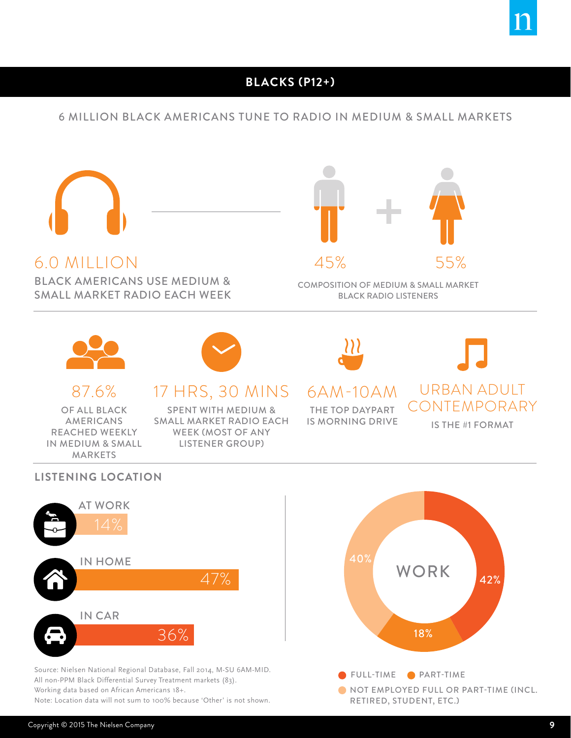

#### **BLACKS (P12+)**

#### 6 MILLION BLACK AMERICANS TUNE TO RADIO IN MEDIUM & SMALL MARKETS

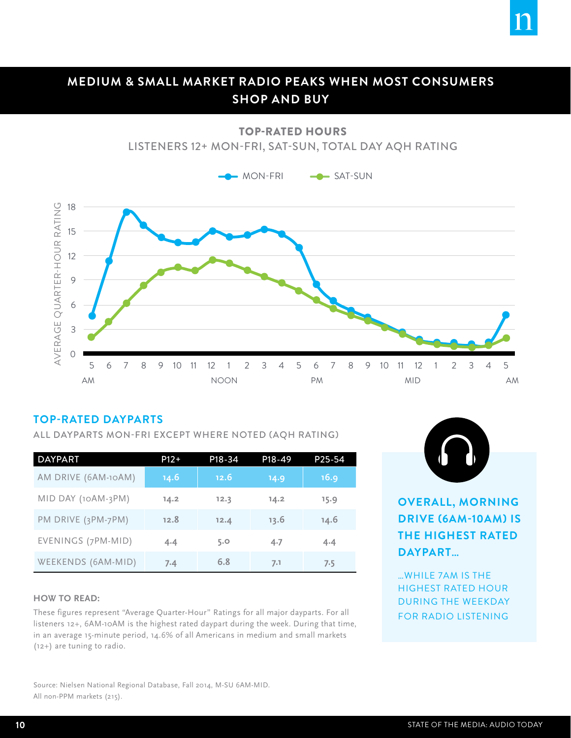### **MEDIUM & SMALL MARKET RADIO PEAKS WHEN MOST CONSUMERS SHOP AND BUY**

Top-Rated Hours

Listeners 12+ Mon-Fri, Sat-Sun, Total Day AQH Rating



#### **TOP-RATED DAYPARTS**

All Dayparts Mon-Fri except where noted (AQH Rating)

| <b>DAYPART</b>      | $P12+$ | P18-34 | $P18-49$ | P25-54 |
|---------------------|--------|--------|----------|--------|
| AM DRIVE (6AM-10AM) | 14.6   | 12.6   | 14.9     | 16.9   |
| MID DAY (10AM-3PM)  | 14.2   | 12.3   | 14.2     | 15.9   |
| PM DRIVE (3PM-7PM)  | 12.8   | 12.4   | 13.6     | 14.6   |
| EVENINGS (7PM-MID)  | 4.4    | 5.0    | 4.7      | 4.4    |
| WEEKENDS (6AM-MID)  | 7.4    | 6.8    | 7.1      | 7.5    |

#### **HOW TO READ:**

These figures represent "Average Quarter-Hour" Ratings for all major dayparts. For all listeners 12+, 6AM-10AM is the highest rated daypart during the week. During that time, in an average 15-minute period, 14.6% of all Americans in medium and small markets (12+) are tuning to radio.

**the highest rated** DAYPART... …while 7am is the

**Overall, MORNING DRIVE (6AM-10AM) is**

highest rated hour during the weekday for radio listening

Source: Nielsen National Regional Database, Fall 2014, M-SU 6AM-MID. All non-PPM markets (215).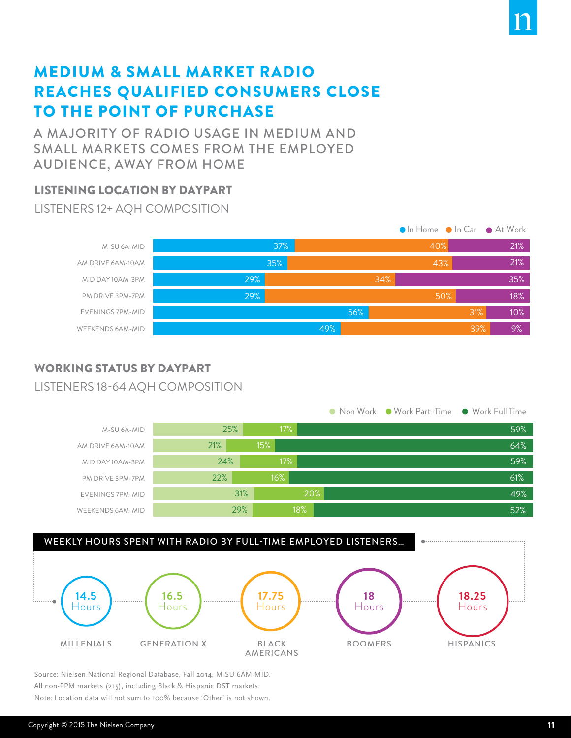### MEDIUM & SMALL MARKET RADIO REACHES QUALIFIED CONSUMERS CLOSE TO THE POINT OF PURCHASE

A MAJORITY OF RADIO USAGE IN MEDIUM AND SMALL MARKETS COMES FROM THE EMPLOYED AUDIENCE, AWAY FROM HOME

#### LISTENING LOCATION BY DAYPART

LISTENERS 12+ AQH COMPOSITION



### WORKING STATUS BY DAYPART LISTENERS 18-64 AQH COMPOSITION



Source: Nielsen National Regional Database, Fall 2014, M-SU 6AM-MID. All non-PPM markets (215), including Black & Hispanic DST markets. Note: Location data will not sum to 100% because 'Other' is not shown.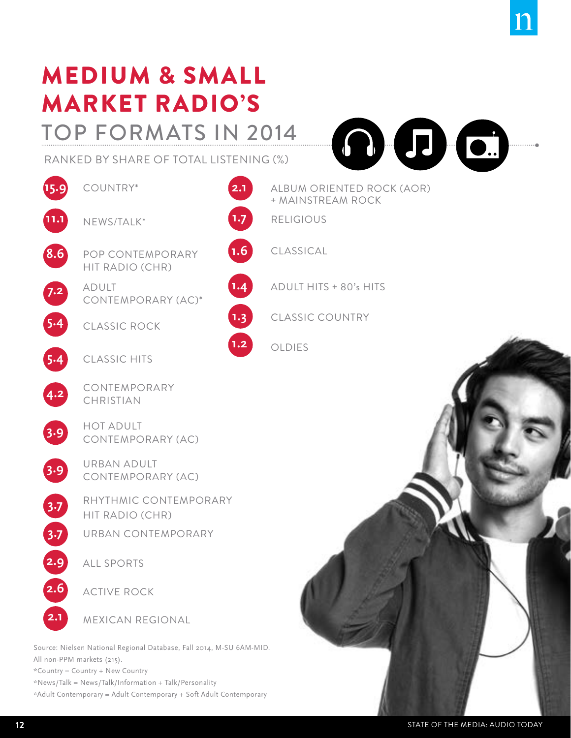## MEDIUM & SMALL MARKET RADIO'S top formats in 2014

#### Ranked by share of total listening (%)

**2.1**

COUNTRY\*

**15.9**

Source: Nielsen National Regional Database, Fall 2014, M-SU 6AM-MID. All non-PPM markets (215). NEWS/TALK\* POP CONTEMPORARY HIT RADIO (CHR) ADULT CONTEMPORARY (AC)\* CLASSIC ROCK CLASSIC HITS **CONTEMPORARY CHRISTIAN** HOT ADULT CONTEMPORARY (AC) URBAN ADULT CONTEMPORARY (AC) RHYTHMIC CONTEMPORARY HIT RADIO (CHR) URBAN CONTEMPORARY ALL SPORTS ACTIVE ROCK MEXICAN REGIONAL CLASSICAL CLASSIC COUNTRY OLDIES **1.7 1.6 1.4 1.3 1.2 11.1 8.6 7.2 5.4 5.4 4.2 3.9 3.9 3.7 3.7 2.9 2.6 2.1**

\*Country = Country + New Country \*News/Talk = News/Talk/Information + Talk/Personality \*Adult Contemporary = Adult Contemporary + Soft Adult Contemporary



ALBUM ORIENTED ROCK (AOR)

 $\Omega$   $\Omega$   $\Omega$ 

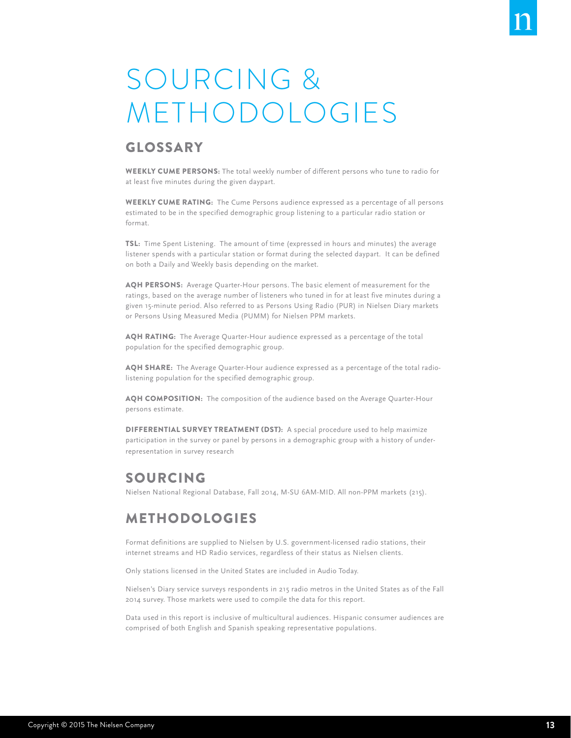# Sourcing & **METHODOLOGIES**

#### **GLOSSARY**

WEEKLY CUME PERSONS: The total weekly number of different persons who tune to radio for at least five minutes during the given daypart.

WEEKLY CUME RATING: The Cume Persons audience expressed as a percentage of all persons estimated to be in the specified demographic group listening to a particular radio station or format.

TSL: Time Spent Listening. The amount of time (expressed in hours and minutes) the average listener spends with a particular station or format during the selected daypart. It can be defined on both a Daily and Weekly basis depending on the market.

AQH PERSONS: Average Quarter-Hour persons. The basic element of measurement for the ratings, based on the average number of listeners who tuned in for at least five minutes during a given 15-minute period. Also referred to as Persons Using Radio (PUR) in Nielsen Diary markets or Persons Using Measured Media (PUMM) for Nielsen PPM markets.

AQH RATING: The Average Quarter-Hour audience expressed as a percentage of the total population for the specified demographic group.

AQH SHARE: The Average Quarter-Hour audience expressed as a percentage of the total radiolistening population for the specified demographic group.

AQH COMPOSITION: The composition of the audience based on the Average Quarter-Hour persons estimate.

DIFFERENTIAL SURVEY TREATMENT (DST): A special procedure used to help maximize participation in the survey or panel by persons in a demographic group with a history of underrepresentation in survey research

#### SOURCING

Nielsen National Regional Database, Fall 2014, M-SU 6AM-MID. All non-PPM markets (215).

#### METHODOLOGIES

Format definitions are supplied to Nielsen by U.S. government-licensed radio stations, their internet streams and HD Radio services, regardless of their status as Nielsen clients.

Only stations licensed in the United States are included in Audio Today.

Nielsen's Diary service surveys respondents in 215 radio metros in the United States as of the Fall 2014 survey. Those markets were used to compile the data for this report.

Data used in this report is inclusive of multicultural audiences. Hispanic consumer audiences are comprised of both English and Spanish speaking representative populations.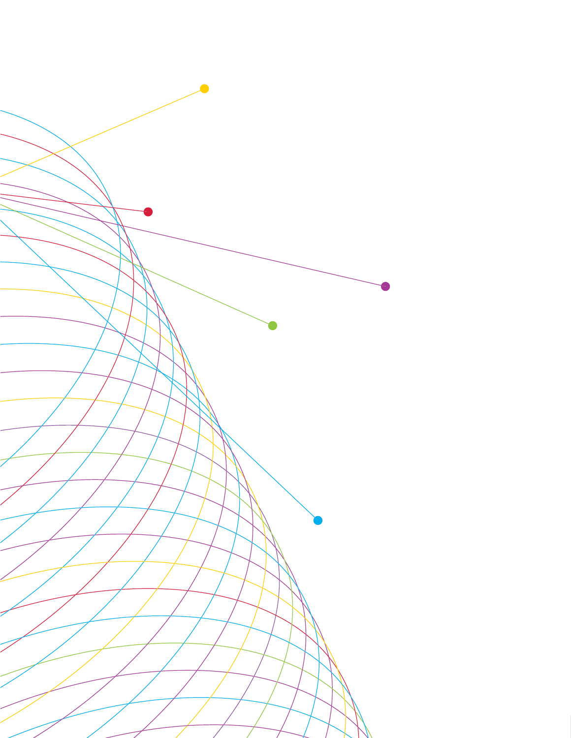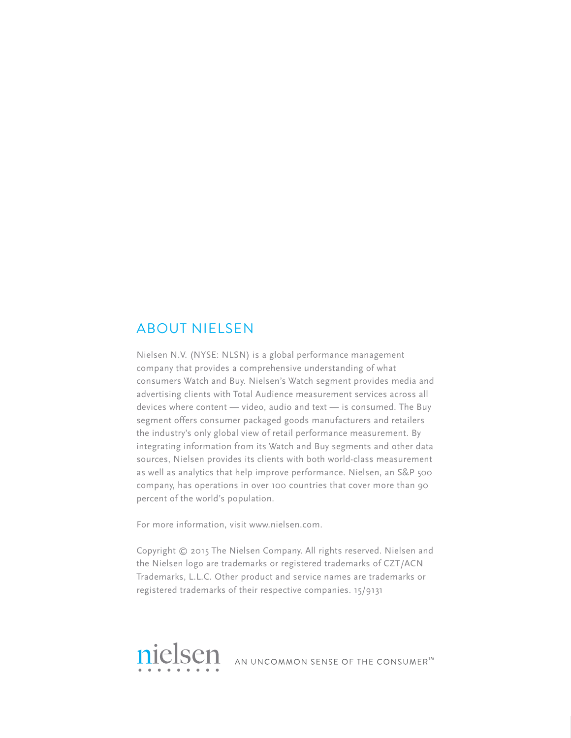#### About Nielsen

Nielsen N.V. (NYSE: NLSN) is a global performance management company that provides a comprehensive understanding of what consumers Watch and Buy. Nielsen's Watch segment provides media and advertising clients with Total Audience measurement services across all devices where content — video, audio and text — is consumed. The Buy segment offers consumer packaged goods manufacturers and retailers the industry's only global view of retail performance measurement. By integrating information from its Watch and Buy segments and other data sources, Nielsen provides its clients with both world-class measurement as well as analytics that help improve performance. Nielsen, an S&P 500 company, has operations in over 100 countries that cover more than 90 percent of the world's population.

For more information, visit www.nielsen.com.

Copyright © 2015 The Nielsen Company. All rights reserved. Nielsen and the Nielsen logo are trademarks or registered trademarks of CZT/ACN Trademarks, L.L.C. Other product and service names are trademarks or registered trademarks of their respective companies. 15/9131